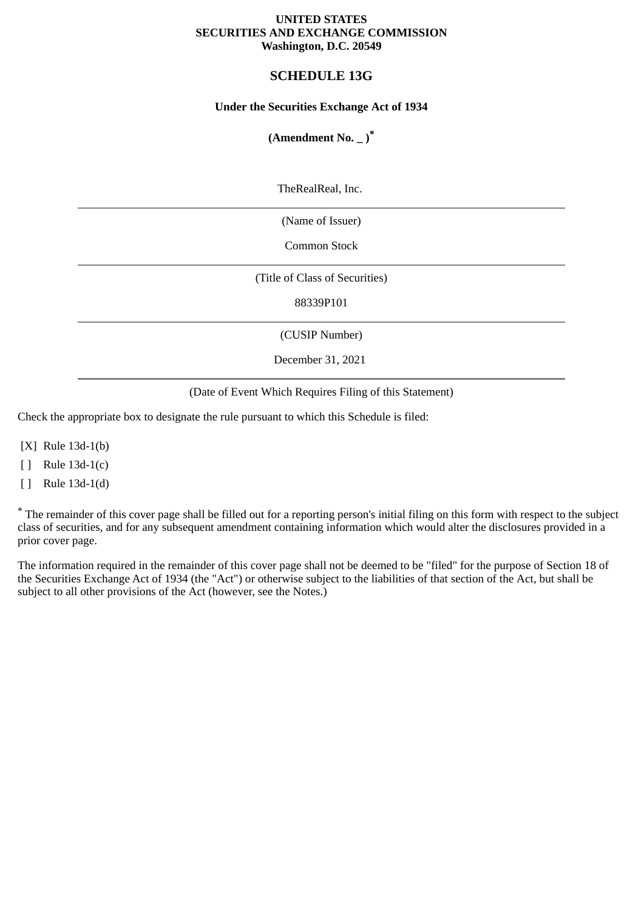### **UNITED STATES SECURITIES AND EXCHANGE COMMISSION Washington, D.C. 20549**

# **SCHEDULE 13G**

# **Under the Securities Exchange Act of 1934**

# **(Amendment No. \_ )\***

TheRealReal, Inc.

(Name of Issuer)

Common Stock

(Title of Class of Securities)

88339P101

(CUSIP Number)

December 31, 2021

(Date of Event Which Requires Filing of this Statement)

Check the appropriate box to designate the rule pursuant to which this Schedule is filed:

[X] Rule 13d-1(b)

[ ] Rule 13d-1(c)

[ ] Rule 13d-1(d)

\* The remainder of this cover page shall be filled out for a reporting person's initial filing on this form with respect to the subject class of securities, and for any subsequent amendment containing information which would alter the disclosures provided in a prior cover page.

The information required in the remainder of this cover page shall not be deemed to be "filed" for the purpose of Section 18 of the Securities Exchange Act of 1934 (the "Act") or otherwise subject to the liabilities of that section of the Act, but shall be subject to all other provisions of the Act (however, see the Notes.)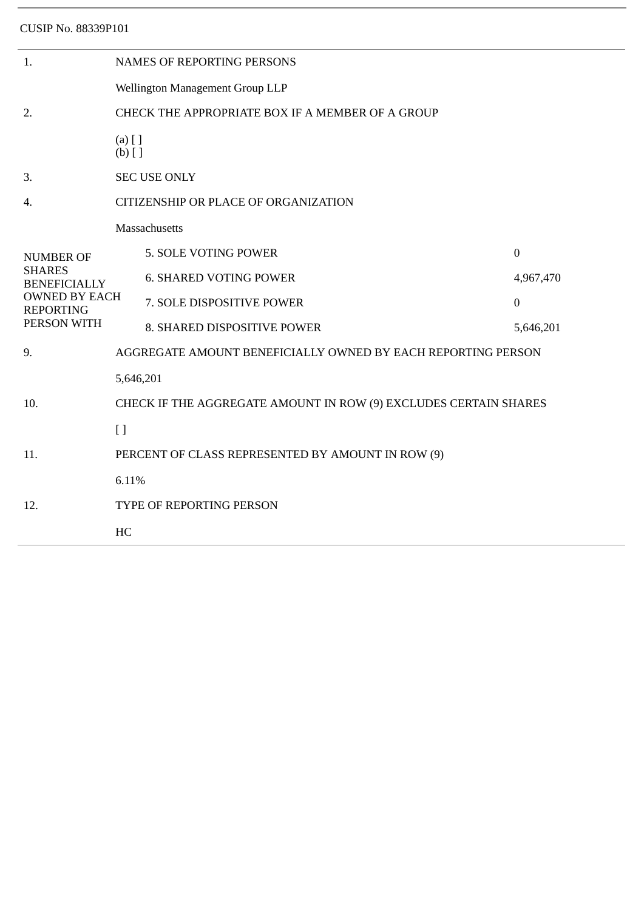| 1.                                                                                                                  | <b>NAMES OF REPORTING PERSONS</b>                                |                               |                  |  |  |  |
|---------------------------------------------------------------------------------------------------------------------|------------------------------------------------------------------|-------------------------------|------------------|--|--|--|
|                                                                                                                     | Wellington Management Group LLP                                  |                               |                  |  |  |  |
| 2.                                                                                                                  | CHECK THE APPROPRIATE BOX IF A MEMBER OF A GROUP                 |                               |                  |  |  |  |
|                                                                                                                     | $(a)$ [ ]<br>$(b)$ []                                            |                               |                  |  |  |  |
| 3.                                                                                                                  | <b>SEC USE ONLY</b>                                              |                               |                  |  |  |  |
| 4.                                                                                                                  | CITIZENSHIP OR PLACE OF ORGANIZATION                             |                               |                  |  |  |  |
| <b>NUMBER OF</b><br><b>SHARES</b><br><b>BENEFICIALLY</b><br><b>OWNED BY EACH</b><br><b>REPORTING</b><br>PERSON WITH | Massachusetts                                                    |                               |                  |  |  |  |
|                                                                                                                     |                                                                  | 5. SOLE VOTING POWER          | $\overline{0}$   |  |  |  |
|                                                                                                                     |                                                                  | <b>6. SHARED VOTING POWER</b> | 4,967,470        |  |  |  |
|                                                                                                                     |                                                                  | 7. SOLE DISPOSITIVE POWER     | $\boldsymbol{0}$ |  |  |  |
|                                                                                                                     |                                                                  | 8. SHARED DISPOSITIVE POWER   | 5,646,201        |  |  |  |
| 9.                                                                                                                  | AGGREGATE AMOUNT BENEFICIALLY OWNED BY EACH REPORTING PERSON     |                               |                  |  |  |  |
| 10.                                                                                                                 | 5,646,201                                                        |                               |                  |  |  |  |
|                                                                                                                     | CHECK IF THE AGGREGATE AMOUNT IN ROW (9) EXCLUDES CERTAIN SHARES |                               |                  |  |  |  |
|                                                                                                                     | $[ \ ]$                                                          |                               |                  |  |  |  |
| 11.                                                                                                                 | PERCENT OF CLASS REPRESENTED BY AMOUNT IN ROW (9)                |                               |                  |  |  |  |
| 12.                                                                                                                 | 6.11%                                                            |                               |                  |  |  |  |
|                                                                                                                     | TYPE OF REPORTING PERSON                                         |                               |                  |  |  |  |
|                                                                                                                     | HC                                                               |                               |                  |  |  |  |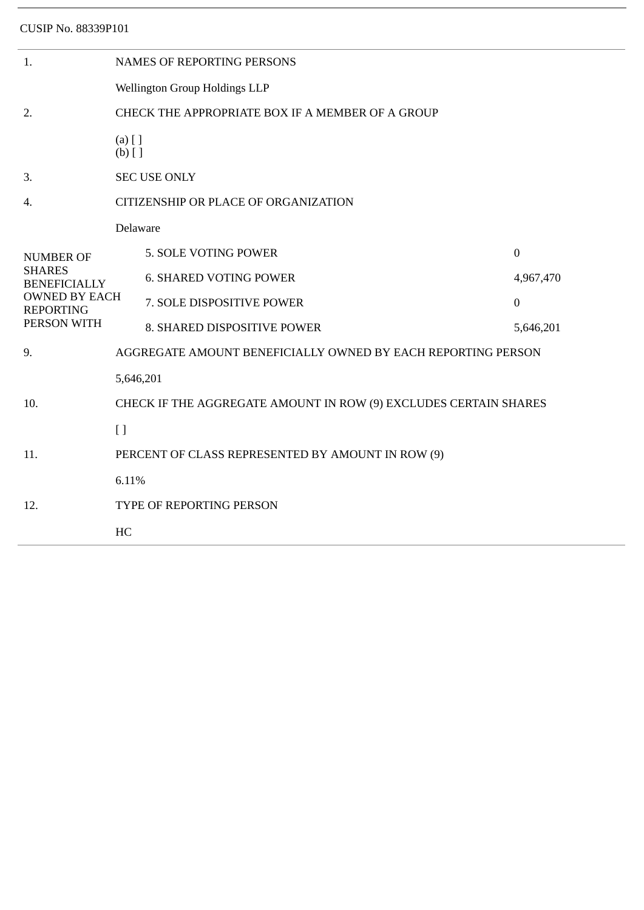| 1.                                                      | <b>NAMES OF REPORTING PERSONS</b>                                |                                                              |              |  |  |  |
|---------------------------------------------------------|------------------------------------------------------------------|--------------------------------------------------------------|--------------|--|--|--|
|                                                         | Wellington Group Holdings LLP                                    |                                                              |              |  |  |  |
| 2.                                                      | CHECK THE APPROPRIATE BOX IF A MEMBER OF A GROUP                 |                                                              |              |  |  |  |
|                                                         | $(a)$ [ ]<br>$(b)$ []                                            |                                                              |              |  |  |  |
| 3.                                                      | <b>SEC USE ONLY</b>                                              |                                                              |              |  |  |  |
| 4.                                                      | CITIZENSHIP OR PLACE OF ORGANIZATION                             |                                                              |              |  |  |  |
| <b>NUMBER OF</b>                                        | Delaware                                                         |                                                              |              |  |  |  |
|                                                         |                                                                  | 5. SOLE VOTING POWER                                         | $\mathbf{0}$ |  |  |  |
| <b>SHARES</b><br><b>BENEFICIALLY</b>                    |                                                                  | <b>6. SHARED VOTING POWER</b>                                | 4,967,470    |  |  |  |
| <b>OWNED BY EACH</b><br><b>REPORTING</b><br>PERSON WITH |                                                                  | 7. SOLE DISPOSITIVE POWER                                    | $\mathbf{0}$ |  |  |  |
|                                                         |                                                                  | 8. SHARED DISPOSITIVE POWER                                  | 5,646,201    |  |  |  |
| 9.                                                      |                                                                  | AGGREGATE AMOUNT BENEFICIALLY OWNED BY EACH REPORTING PERSON |              |  |  |  |
| 10.                                                     | 5,646,201                                                        |                                                              |              |  |  |  |
|                                                         | CHECK IF THE AGGREGATE AMOUNT IN ROW (9) EXCLUDES CERTAIN SHARES |                                                              |              |  |  |  |
|                                                         | $[ \ ]$                                                          |                                                              |              |  |  |  |
| 11.                                                     |                                                                  | PERCENT OF CLASS REPRESENTED BY AMOUNT IN ROW (9)            |              |  |  |  |
| 12.                                                     | 6.11%                                                            |                                                              |              |  |  |  |
|                                                         | TYPE OF REPORTING PERSON                                         |                                                              |              |  |  |  |
|                                                         | HC                                                               |                                                              |              |  |  |  |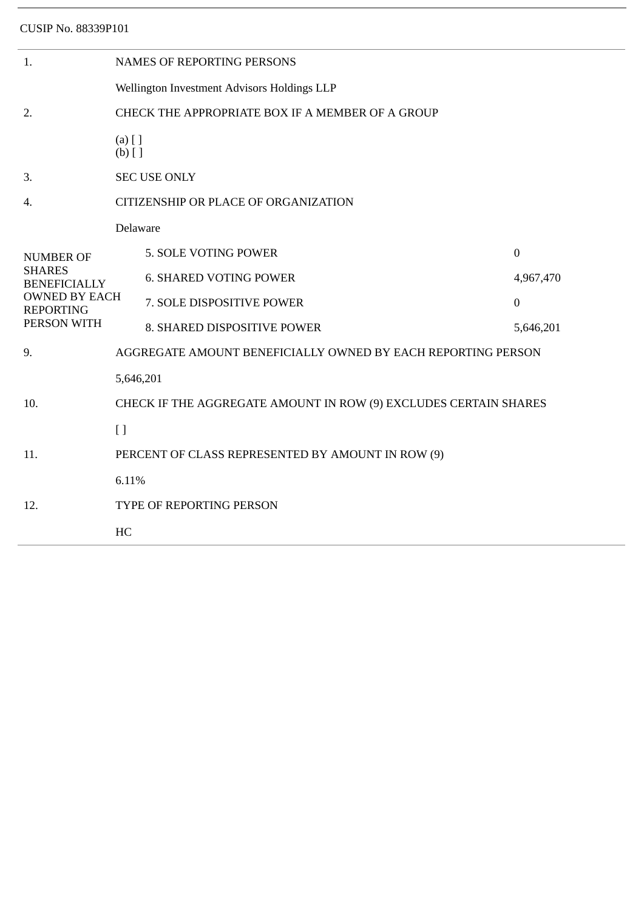|                                                                  | <b>NAMES OF REPORTING PERSONS</b> |              |  |  |  |
|------------------------------------------------------------------|-----------------------------------|--------------|--|--|--|
| Wellington Investment Advisors Holdings LLP                      |                                   |              |  |  |  |
| CHECK THE APPROPRIATE BOX IF A MEMBER OF A GROUP                 |                                   |              |  |  |  |
| $(a)$ [ ]<br>$(b)$ []                                            |                                   |              |  |  |  |
| <b>SEC USE ONLY</b>                                              |                                   |              |  |  |  |
| CITIZENSHIP OR PLACE OF ORGANIZATION                             |                                   |              |  |  |  |
| Delaware                                                         |                                   |              |  |  |  |
|                                                                  | 5. SOLE VOTING POWER              | $\mathbf{0}$ |  |  |  |
|                                                                  | <b>6. SHARED VOTING POWER</b>     | 4,967,470    |  |  |  |
| <b>OWNED BY EACH</b>                                             | 7. SOLE DISPOSITIVE POWER         | $\mathbf{0}$ |  |  |  |
|                                                                  | 8. SHARED DISPOSITIVE POWER       | 5,646,201    |  |  |  |
| AGGREGATE AMOUNT BENEFICIALLY OWNED BY EACH REPORTING PERSON     |                                   |              |  |  |  |
| 5,646,201                                                        |                                   |              |  |  |  |
| CHECK IF THE AGGREGATE AMOUNT IN ROW (9) EXCLUDES CERTAIN SHARES |                                   |              |  |  |  |
| [ ]                                                              |                                   |              |  |  |  |
| PERCENT OF CLASS REPRESENTED BY AMOUNT IN ROW (9)                |                                   |              |  |  |  |
| 6.11%                                                            |                                   |              |  |  |  |
| TYPE OF REPORTING PERSON                                         |                                   |              |  |  |  |
| HC                                                               |                                   |              |  |  |  |
|                                                                  |                                   |              |  |  |  |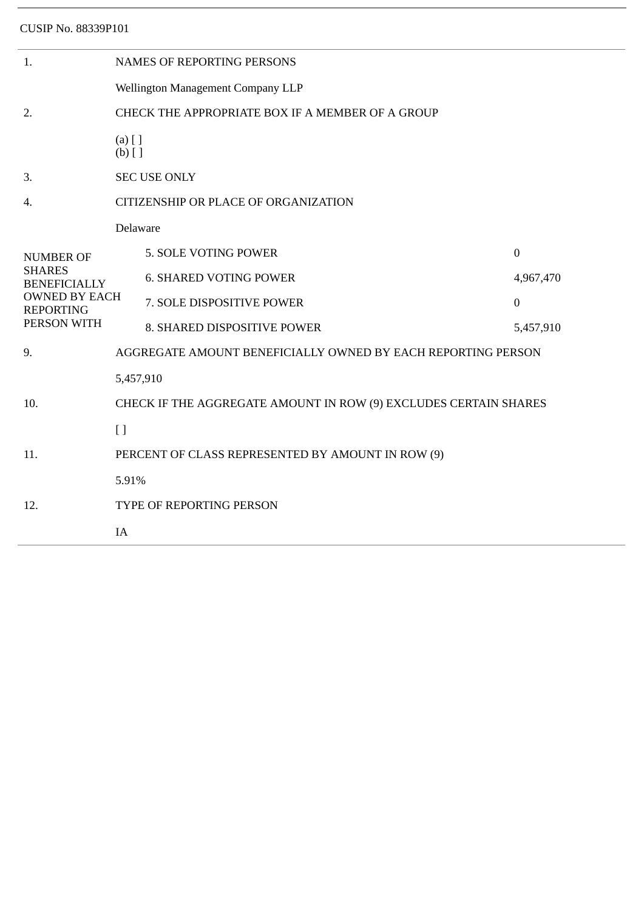| 1.                                                                                                                  | <b>NAMES OF REPORTING PERSONS</b>                                |                               |                  |  |  |  |
|---------------------------------------------------------------------------------------------------------------------|------------------------------------------------------------------|-------------------------------|------------------|--|--|--|
|                                                                                                                     | Wellington Management Company LLP                                |                               |                  |  |  |  |
| 2.                                                                                                                  | CHECK THE APPROPRIATE BOX IF A MEMBER OF A GROUP                 |                               |                  |  |  |  |
|                                                                                                                     | $(a)$ [ ]<br>$(b)$ []                                            |                               |                  |  |  |  |
| 3.                                                                                                                  | <b>SEC USE ONLY</b>                                              |                               |                  |  |  |  |
| 4.                                                                                                                  | CITIZENSHIP OR PLACE OF ORGANIZATION                             |                               |                  |  |  |  |
| <b>NUMBER OF</b><br><b>SHARES</b><br><b>BENEFICIALLY</b><br><b>OWNED BY EACH</b><br><b>REPORTING</b><br>PERSON WITH | Delaware                                                         |                               |                  |  |  |  |
|                                                                                                                     |                                                                  | 5. SOLE VOTING POWER          | $\boldsymbol{0}$ |  |  |  |
|                                                                                                                     |                                                                  | <b>6. SHARED VOTING POWER</b> | 4,967,470        |  |  |  |
|                                                                                                                     |                                                                  | 7. SOLE DISPOSITIVE POWER     | $\boldsymbol{0}$ |  |  |  |
|                                                                                                                     |                                                                  | 8. SHARED DISPOSITIVE POWER   | 5,457,910        |  |  |  |
| 9.                                                                                                                  | AGGREGATE AMOUNT BENEFICIALLY OWNED BY EACH REPORTING PERSON     |                               |                  |  |  |  |
|                                                                                                                     | 5,457,910                                                        |                               |                  |  |  |  |
| 10.                                                                                                                 | CHECK IF THE AGGREGATE AMOUNT IN ROW (9) EXCLUDES CERTAIN SHARES |                               |                  |  |  |  |
|                                                                                                                     | [ ]                                                              |                               |                  |  |  |  |
| 11.                                                                                                                 | PERCENT OF CLASS REPRESENTED BY AMOUNT IN ROW (9)                |                               |                  |  |  |  |
| 12.                                                                                                                 | 5.91%                                                            |                               |                  |  |  |  |
|                                                                                                                     | TYPE OF REPORTING PERSON                                         |                               |                  |  |  |  |
|                                                                                                                     | IA                                                               |                               |                  |  |  |  |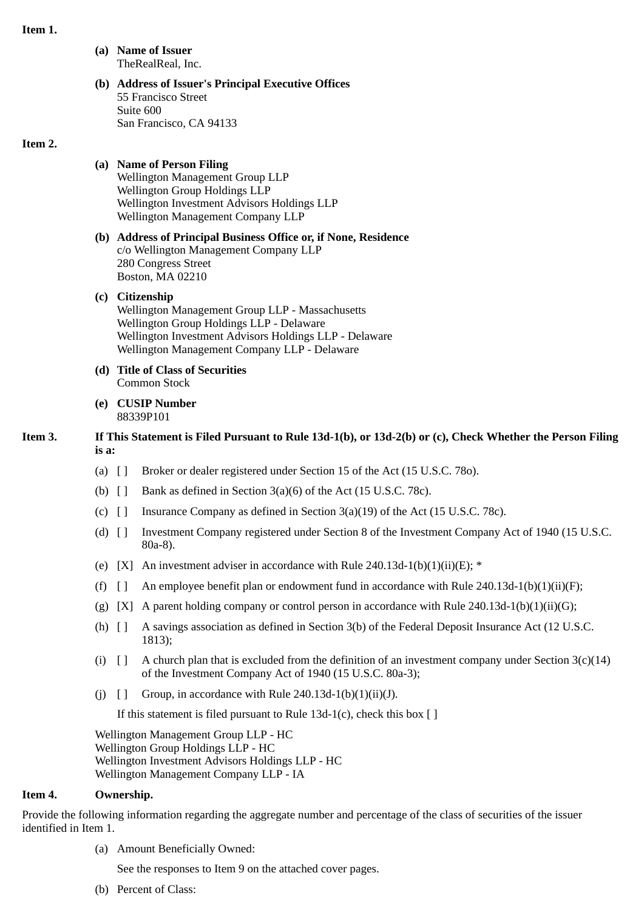### **Item 1.**

**(a) Name of Issuer** TheRealReal, Inc.

#### **(b) Address of Issuer's Principal Executive Offices** 55 Francisco Street Suite 600 San Francisco, CA 94133

#### **Item 2.**

# **(a) Name of Person Filing**

Wellington Management Group LLP Wellington Group Holdings LLP Wellington Investment Advisors Holdings LLP Wellington Management Company LLP

### **(b) Address of Principal Business Office or, if None, Residence** c/o Wellington Management Company LLP 280 Congress Street Boston, MA 02210

### **(c) Citizenship**

Wellington Management Group LLP - Massachusetts Wellington Group Holdings LLP - Delaware Wellington Investment Advisors Holdings LLP - Delaware Wellington Management Company LLP - Delaware

- **(d) Title of Class of Securities** Common Stock
- **(e) CUSIP Number** 88339P101

# **Item 3. If This Statement is Filed Pursuant to Rule 13d-1(b), or 13d-2(b) or (c), Check Whether the Person Filing is a:**

- (a) [ ] Broker or dealer registered under Section 15 of the Act (15 U.S.C. 78o).
- (b)  $\begin{bmatrix} \end{bmatrix}$  Bank as defined in Section 3(a)(6) of the Act (15 U.S.C. 78c).
- (c)  $\lceil \cdot \rceil$  Insurance Company as defined in Section 3(a)(19) of the Act (15 U.S.C. 78c).
- (d) [ ] Investment Company registered under Section 8 of the Investment Company Act of 1940 (15 U.S.C. 80a-8).
- (e) [X] An investment adviser in accordance with Rule 240.13d-1(b)(1)(ii)(E);  $*$
- (f)  $\begin{bmatrix} 1 \\ 1 \end{bmatrix}$  An employee benefit plan or endowment fund in accordance with Rule 240.13d-1(b)(1)(ii)(F);
- (g) [X] A parent holding company or control person in accordance with Rule 240.13d-1(b)(1)(ii)(G);
- (h) [ ] A savings association as defined in Section 3(b) of the Federal Deposit Insurance Act (12 U.S.C. 1813);
- (i)  $\lceil \rceil$  A church plan that is excluded from the definition of an investment company under Section 3(c)(14) of the Investment Company Act of 1940 (15 U.S.C. 80a-3);
- (i)  $\lceil \cdot \rceil$  Group, in accordance with Rule 240.13d-1(b)(1)(ii)(J).

If this statement is filed pursuant to Rule 13d-1(c), check this box  $[ ]$ 

Wellington Management Group LLP - HC Wellington Group Holdings LLP - HC Wellington Investment Advisors Holdings LLP - HC Wellington Management Company LLP - IA

### **Item 4. Ownership.**

Provide the following information regarding the aggregate number and percentage of the class of securities of the issuer identified in Item 1.

(a) Amount Beneficially Owned:

See the responses to Item 9 on the attached cover pages.

(b) Percent of Class: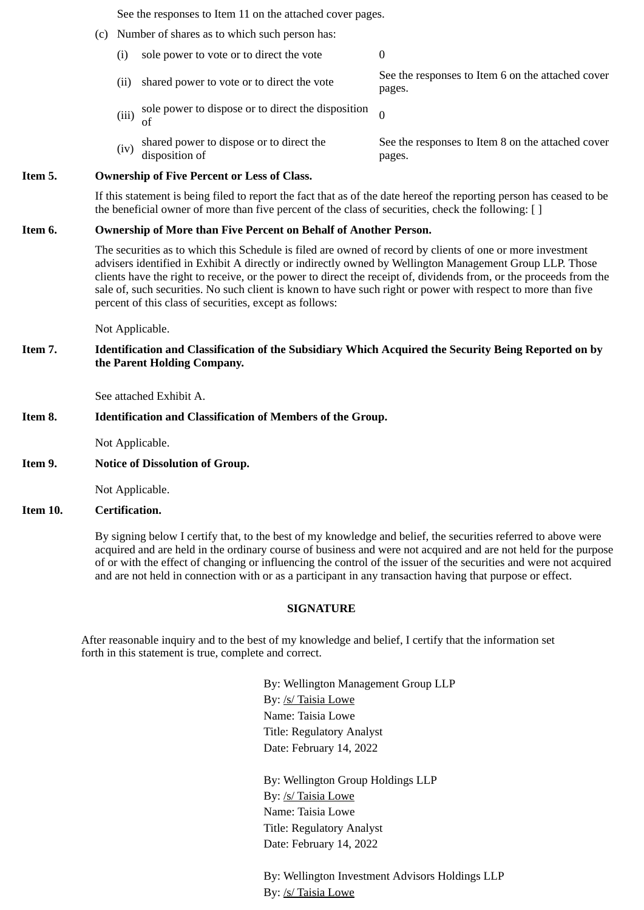See the responses to Item 11 on the attached cover pages.

- (c) Number of shares as to which such person has:
	- (i) sole power to vote or to direct the vote  $0$
	- (ii) shared power to vote or to direct the vote See the responses to Item 6 on the attached cover pages.
	- (iii) sole power to dispose or to direct the disposition  $\sigma$ 
		- See the responses to Item 8 on the attached cover pages.

#### **Item 5. Ownership of Five Percent or Less of Class.**

disposition of

If this statement is being filed to report the fact that as of the date hereof the reporting person has ceased to be the beneficial owner of more than five percent of the class of securities, check the following: [ ]

#### **Item 6. Ownership of More than Five Percent on Behalf of Another Person.**

 $(iv)$  shared power to dispose or to direct the

The securities as to which this Schedule is filed are owned of record by clients of one or more investment advisers identified in Exhibit A directly or indirectly owned by Wellington Management Group LLP. Those clients have the right to receive, or the power to direct the receipt of, dividends from, or the proceeds from the sale of, such securities. No such client is known to have such right or power with respect to more than five percent of this class of securities, except as follows:

Not Applicable.

### **Item 7. Identification and Classification of the Subsidiary Which Acquired the Security Being Reported on by the Parent Holding Company.**

See attached Exhibit A.

### **Item 8. Identification and Classification of Members of the Group.**

Not Applicable.

**Item 9. Notice of Dissolution of Group.**

Not Applicable.

#### **Item 10. Certification.**

By signing below I certify that, to the best of my knowledge and belief, the securities referred to above were acquired and are held in the ordinary course of business and were not acquired and are not held for the purpose of or with the effect of changing or influencing the control of the issuer of the securities and were not acquired and are not held in connection with or as a participant in any transaction having that purpose or effect.

### **SIGNATURE**

After reasonable inquiry and to the best of my knowledge and belief, I certify that the information set forth in this statement is true, complete and correct.

> By: Wellington Management Group LLP By: /s/ Taisia Lowe Name: Taisia Lowe Title: Regulatory Analyst Date: February 14, 2022

By: Wellington Group Holdings LLP By: /s/ Taisia Lowe Name: Taisia Lowe Title: Regulatory Analyst Date: February 14, 2022

By: Wellington Investment Advisors Holdings LLP By: /s/ Taisia Lowe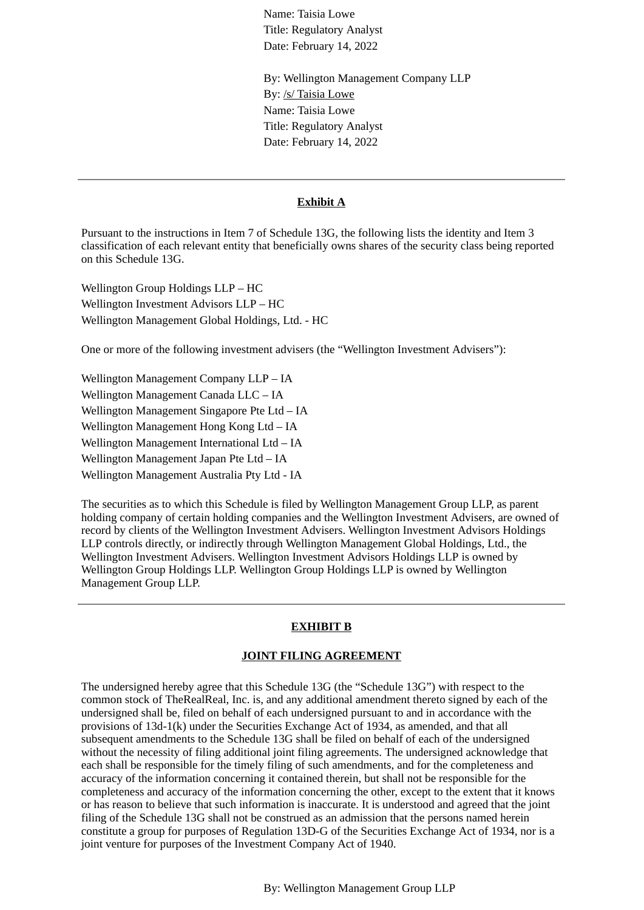Name: Taisia Lowe Title: Regulatory Analyst Date: February 14, 2022

By: Wellington Management Company LLP By: /s/ Taisia Lowe Name: Taisia Lowe Title: Regulatory Analyst Date: February 14, 2022

#### **Exhibit A**

Pursuant to the instructions in Item 7 of Schedule 13G, the following lists the identity and Item 3 classification of each relevant entity that beneficially owns shares of the security class being reported on this Schedule 13G.

Wellington Group Holdings LLP – HC Wellington Investment Advisors LLP – HC Wellington Management Global Holdings, Ltd. - HC

One or more of the following investment advisers (the "Wellington Investment Advisers"):

Wellington Management Company LLP – IA Wellington Management Canada LLC – IA Wellington Management Singapore Pte Ltd – IA Wellington Management Hong Kong Ltd – IA Wellington Management International Ltd – IA Wellington Management Japan Pte Ltd – IA Wellington Management Australia Pty Ltd - IA

The securities as to which this Schedule is filed by Wellington Management Group LLP, as parent holding company of certain holding companies and the Wellington Investment Advisers, are owned of record by clients of the Wellington Investment Advisers. Wellington Investment Advisors Holdings LLP controls directly, or indirectly through Wellington Management Global Holdings, Ltd., the Wellington Investment Advisers. Wellington Investment Advisors Holdings LLP is owned by Wellington Group Holdings LLP. Wellington Group Holdings LLP is owned by Wellington Management Group LLP.

### **EXHIBIT B**

#### **JOINT FILING AGREEMENT**

The undersigned hereby agree that this Schedule 13G (the "Schedule 13G") with respect to the common stock of TheRealReal, Inc. is, and any additional amendment thereto signed by each of the undersigned shall be, filed on behalf of each undersigned pursuant to and in accordance with the provisions of 13d-1(k) under the Securities Exchange Act of 1934, as amended, and that all subsequent amendments to the Schedule 13G shall be filed on behalf of each of the undersigned without the necessity of filing additional joint filing agreements. The undersigned acknowledge that each shall be responsible for the timely filing of such amendments, and for the completeness and accuracy of the information concerning it contained therein, but shall not be responsible for the completeness and accuracy of the information concerning the other, except to the extent that it knows or has reason to believe that such information is inaccurate. It is understood and agreed that the joint filing of the Schedule 13G shall not be construed as an admission that the persons named herein constitute a group for purposes of Regulation 13D-G of the Securities Exchange Act of 1934, nor is a joint venture for purposes of the Investment Company Act of 1940.